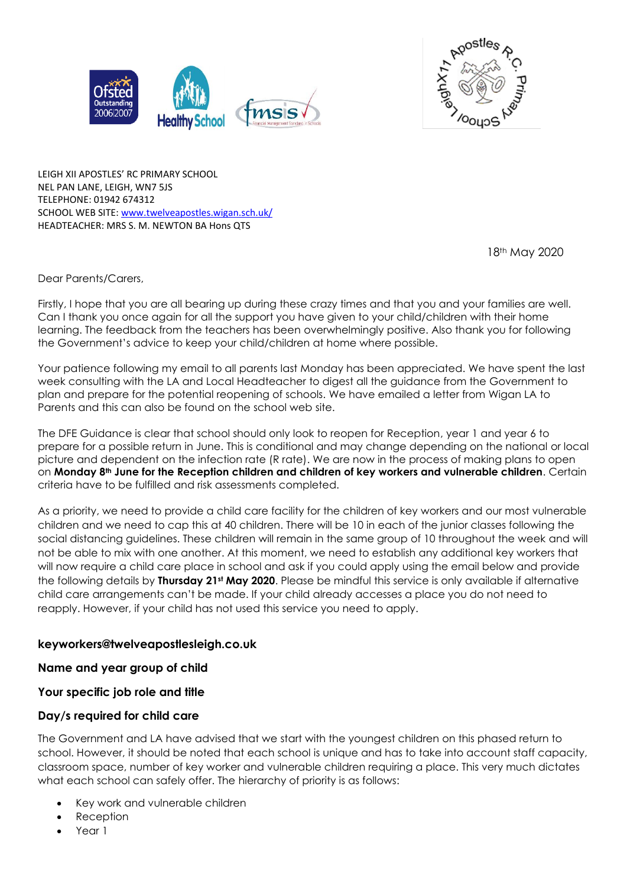



LEIGH XII APOSTLES' RC PRIMARY SCHOOL NEL PAN LANE, LEIGH, WN7 5JS TELEPHONE: 01942 674312 SCHOOL WEB SITE: [www.twelveapostles.wigan.sch.uk/](http://www.twelveapostles.wigan.sch.uk/) HEADTEACHER: MRS S. M. NEWTON BA Hons QTS

18th May 2020

Dear Parents/Carers,

Firstly, I hope that you are all bearing up during these crazy times and that you and your families are well. Can I thank you once again for all the support you have given to your child/children with their home learning. The feedback from the teachers has been overwhelmingly positive. Also thank you for following the Government's advice to keep your child/children at home where possible.

Your patience following my email to all parents last Monday has been appreciated. We have spent the last week consulting with the LA and Local Headteacher to digest all the guidance from the Government to plan and prepare for the potential reopening of schools. We have emailed a letter from Wigan LA to Parents and this can also be found on the school web site.

The DFE Guidance is clear that school should only look to reopen for Reception, year 1 and year 6 to prepare for a possible return in June. This is conditional and may change depending on the national or local picture and dependent on the infection rate (R rate). We are now in the process of making plans to open on **Monday 8th June for the Reception children and children of key workers and vulnerable children**. Certain criteria have to be fulfilled and risk assessments completed.

As a priority, we need to provide a child care facility for the children of key workers and our most vulnerable children and we need to cap this at 40 children. There will be 10 in each of the junior classes following the social distancing guidelines. These children will remain in the same group of 10 throughout the week and will not be able to mix with one another. At this moment, we need to establish any additional key workers that will now require a child care place in school and ask if you could apply using the email below and provide the following details by **Thursday 21st May 2020**. Please be mindful this service is only available if alternative child care arrangements can't be made. If your child already accesses a place you do not need to reapply. However, if your child has not used this service you need to apply.

## **keyworkers@twelveapostlesleigh.co.uk**

## **Name and year group of child**

## **Your specific job role and title**

## **Day/s required for child care**

The Government and LA have advised that we start with the youngest children on this phased return to school. However, it should be noted that each school is unique and has to take into account staff capacity, classroom space, number of key worker and vulnerable children requiring a place. This very much dictates what each school can safely offer. The hierarchy of priority is as follows:

- Key work and vulnerable children
- **Reception**
- Year 1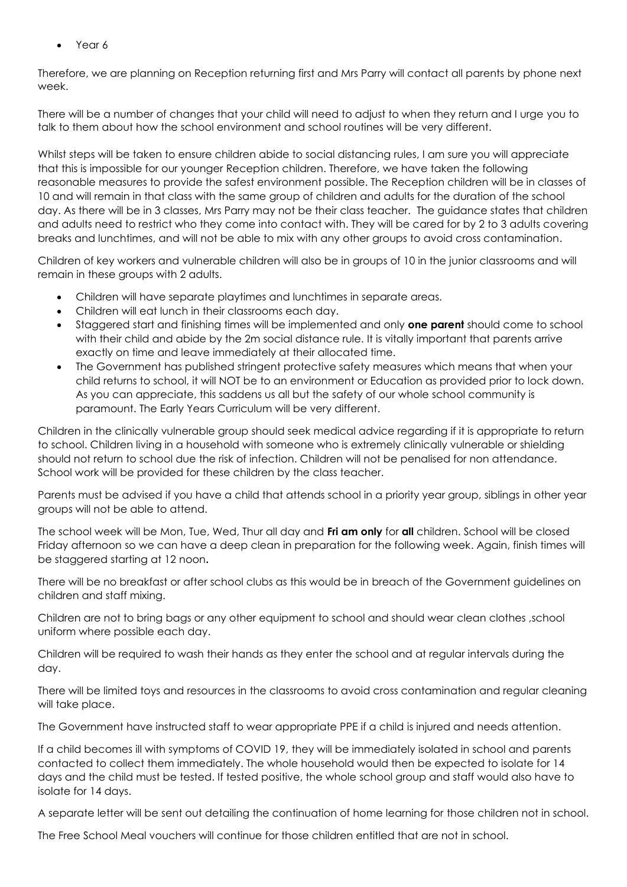• Year 6

Therefore, we are planning on Reception returning first and Mrs Parry will contact all parents by phone next week.

There will be a number of changes that your child will need to adjust to when they return and I urge you to talk to them about how the school environment and school routines will be very different.

Whilst steps will be taken to ensure children abide to social distancing rules, I am sure you will appreciate that this is impossible for our younger Reception children. Therefore, we have taken the following reasonable measures to provide the safest environment possible. The Reception children will be in classes of 10 and will remain in that class with the same group of children and adults for the duration of the school day. As there will be in 3 classes, Mrs Parry may not be their class teacher. The guidance states that children and adults need to restrict who they come into contact with. They will be cared for by 2 to 3 adults covering breaks and lunchtimes, and will not be able to mix with any other groups to avoid cross contamination.

Children of key workers and vulnerable children will also be in groups of 10 in the junior classrooms and will remain in these groups with 2 adults.

- Children will have separate playtimes and lunchtimes in separate areas.
- Children will eat lunch in their classrooms each day.
- Staggered start and finishing times will be implemented and only **one parent** should come to school with their child and abide by the 2m social distance rule. It is vitally important that parents arrive exactly on time and leave immediately at their allocated time.
- The Government has published stringent protective safety measures which means that when your child returns to school, it will NOT be to an environment or Education as provided prior to lock down. As you can appreciate, this saddens us all but the safety of our whole school community is paramount. The Early Years Curriculum will be very different.

Children in the clinically vulnerable group should seek medical advice regarding if it is appropriate to return to school. Children living in a household with someone who is extremely clinically vulnerable or shielding should not return to school due the risk of infection. Children will not be penalised for non attendance. School work will be provided for these children by the class teacher.

Parents must be advised if you have a child that attends school in a priority year group, siblings in other year groups will not be able to attend.

The school week will be Mon, Tue, Wed, Thur all day and **Fri am only** for **all** children. School will be closed Friday afternoon so we can have a deep clean in preparation for the following week. Again, finish times will be staggered starting at 12 noon**.**

There will be no breakfast or after school clubs as this would be in breach of the Government guidelines on children and staff mixing.

Children are not to bring bags or any other equipment to school and should wear clean clothes ,school uniform where possible each day.

Children will be required to wash their hands as they enter the school and at regular intervals during the day.

There will be limited toys and resources in the classrooms to avoid cross contamination and regular cleaning will take place.

The Government have instructed staff to wear appropriate PPE if a child is injured and needs attention.

If a child becomes ill with symptoms of COVID 19, they will be immediately isolated in school and parents contacted to collect them immediately. The whole household would then be expected to isolate for 14 days and the child must be tested. If tested positive, the whole school group and staff would also have to isolate for 14 days.

A separate letter will be sent out detailing the continuation of home learning for those children not in school.

The Free School Meal vouchers will continue for those children entitled that are not in school.